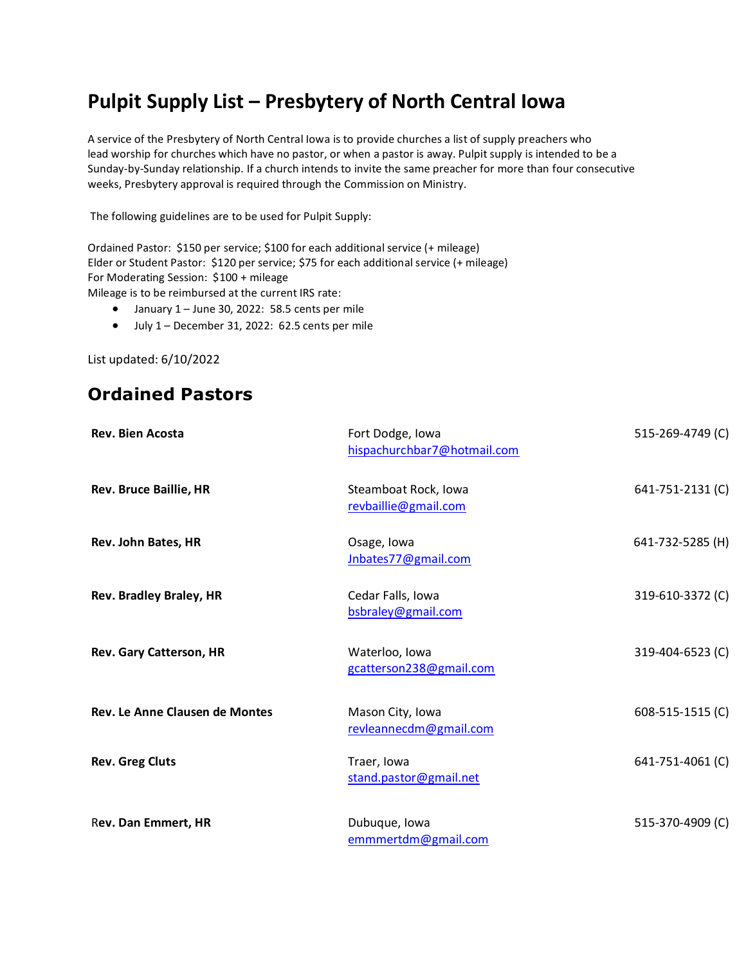## **Pulpit Supply List – Presbytery of North Central Iowa**

A service of the Presbytery of North Central Iowa is to provide churches a list of supply preachers who lead worship for churches which have no pastor, or when a pastor is away. Pulpit supply is intended to be a Sunday-by-Sunday relationship. If a church intends to invite the same preacher for more than four consecutive weeks, Presbytery approval is required through the Commission on Ministry.

The following guidelines are to be used for Pulpit Supply:

Ordained Pastor: \$150 per service; \$100 for each additional service (+ mileage) Elder or Student Pastor: \$120 per service; \$75 for each additional service (+ mileage) For Moderating Session: \$100 + mileage

Mileage is to be reimbursed at the current IRS rate:

- January 1 June 30, 2022: 58.5 cents per mile
- July 1 December 31, 2022: 62.5 cents per mile

List updated: 6/10/2022

## **Ordained Pastors**

| <b>Rev. Bien Acosta</b>        | Fort Dodge, Iowa<br>hispachurchbar7@hotmail.com | 515-269-4749 (C) |
|--------------------------------|-------------------------------------------------|------------------|
| <b>Rev. Bruce Baillie, HR</b>  | Steamboat Rock, Iowa<br>revbaillie@gmail.com    | 641-751-2131 (C) |
| Rev. John Bates, HR            | Osage, Iowa<br>Jnbates77@gmail.com              | 641-732-5285 (H) |
| <b>Rev. Bradley Braley, HR</b> | Cedar Falls, Iowa<br>bsbraley@gmail.com         | 319-610-3372 (C) |
| Rev. Gary Catterson, HR        | Waterloo, Iowa<br>gcatterson238@gmail.com       | 319-404-6523 (C) |
| Rev. Le Anne Clausen de Montes | Mason City, Iowa<br>revleannecdm@gmail.com      | 608-515-1515 (C) |
| <b>Rev. Greg Cluts</b>         | Traer, Iowa<br>stand.pastor@gmail.net           | 641-751-4061 (C) |
| Rev. Dan Emmert, HR            | Dubuque, Iowa<br>emmmertdm@gmail.com            | 515-370-4909 (C) |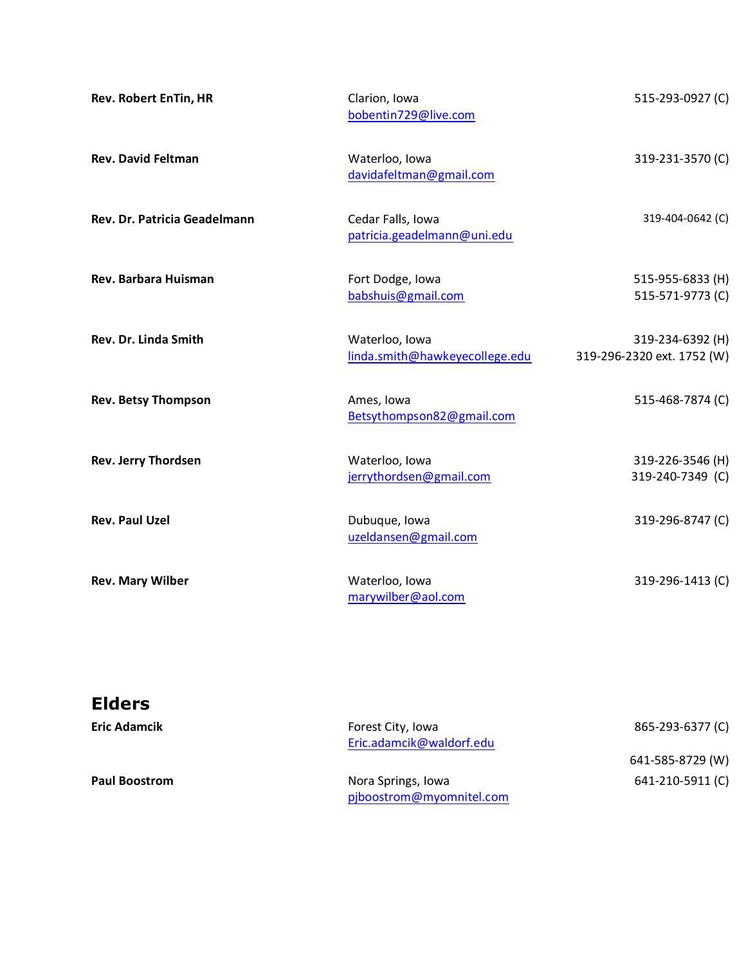| <b>Rev. Robert EnTin, HR</b> | Clarion, Iowa<br>bobentin729@live.com            | 515-293-0927 (C)                               |
|------------------------------|--------------------------------------------------|------------------------------------------------|
| <b>Rev. David Feltman</b>    | Waterloo, Iowa<br>davidafeltman@gmail.com        | 319-231-3570 (C)                               |
| Rev. Dr. Patricia Geadelmann | Cedar Falls, Iowa<br>patricia.geadelmann@uni.edu | 319-404-0642 (C)                               |
| Rev. Barbara Huisman         | Fort Dodge, Iowa<br>babshuis@gmail.com           | 515-955-6833 (H)<br>515-571-9773 (C)           |
| <b>Rev. Dr. Linda Smith</b>  | Waterloo, Iowa<br>linda.smith@hawkeyecollege.edu | 319-234-6392 (H)<br>319-296-2320 ext. 1752 (W) |
| <b>Rev. Betsy Thompson</b>   | Ames, Iowa<br>Betsythompson82@gmail.com          | 515-468-7874 (C)                               |
| <b>Rev. Jerry Thordsen</b>   | Waterloo, Iowa<br>jerrythordsen@gmail.com        | 319-226-3546 (H)<br>319-240-7349 (C)           |
| <b>Rev. Paul Uzel</b>        | Dubuque, Iowa<br>uzeldansen@gmail.com            | 319-296-8747 (C)                               |
| <b>Rev. Mary Wilber</b>      | Waterloo, Iowa<br>marywilber@aol.com             | 319-296-1413 (C)                               |

| <b>Elders</b>        |                                                |                  |
|----------------------|------------------------------------------------|------------------|
| <b>Eric Adamcik</b>  | Forest City, Iowa<br>Eric.adamcik@waldorf.edu  | 865-293-6377 (C) |
|                      |                                                | 641-585-8729 (W) |
| <b>Paul Boostrom</b> | Nora Springs, Iowa<br>pjboostrom@myomnitel.com | 641-210-5911 (C) |